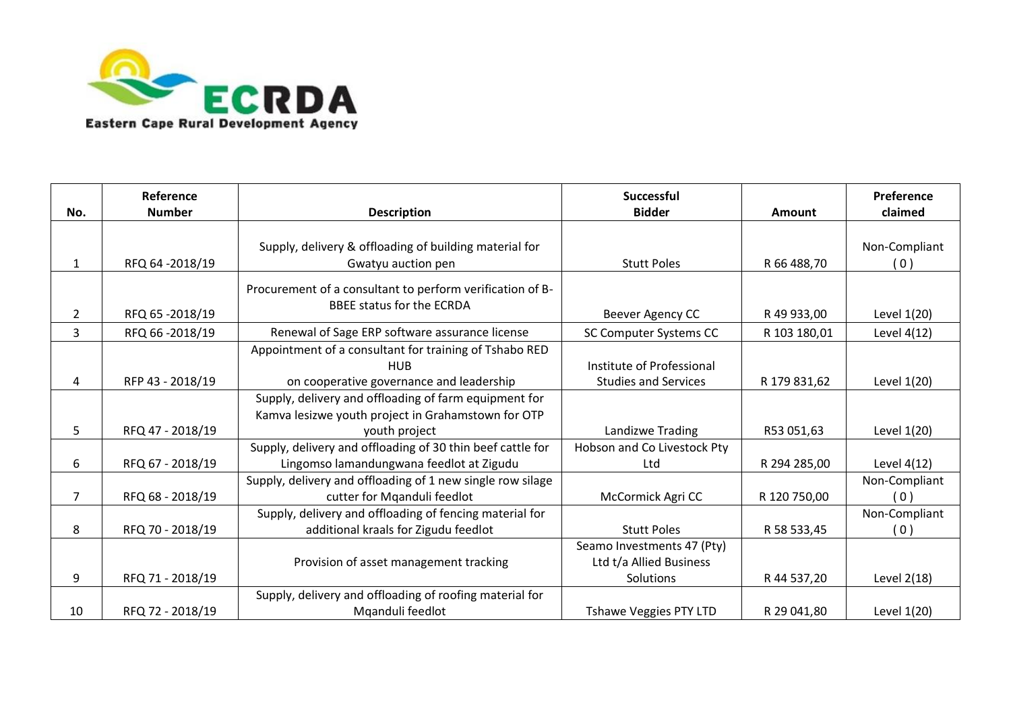

| No.            | Reference<br><b>Number</b> | <b>Description</b>                                                                                          | <b>Successful</b><br><b>Bidder</b>                                 | Amount       | Preference<br>claimed |
|----------------|----------------------------|-------------------------------------------------------------------------------------------------------------|--------------------------------------------------------------------|--------------|-----------------------|
|                |                            |                                                                                                             |                                                                    |              |                       |
| 1              | RFQ 64-2018/19             | Supply, delivery & offloading of building material for<br>Gwatyu auction pen                                | <b>Stutt Poles</b>                                                 | R 66 488,70  | Non-Compliant<br>(0)  |
| $\overline{2}$ | RFQ 65 -2018/19            | Procurement of a consultant to perform verification of B-<br>BBEE status for the ECRDA                      | Beever Agency CC                                                   | R 49 933,00  | Level 1(20)           |
| 3              | RFQ 66-2018/19             | Renewal of Sage ERP software assurance license                                                              | SC Computer Systems CC                                             | R 103 180,01 | Level 4(12)           |
|                |                            | Appointment of a consultant for training of Tshabo RED<br><b>HUB</b>                                        | Institute of Professional                                          |              |                       |
| 4              | RFP 43 - 2018/19           | on cooperative governance and leadership                                                                    | <b>Studies and Services</b>                                        | R 179 831,62 | Level 1(20)           |
|                |                            | Supply, delivery and offloading of farm equipment for<br>Kamva lesizwe youth project in Grahamstown for OTP |                                                                    |              |                       |
| 5              | RFQ 47 - 2018/19           | youth project                                                                                               | Landizwe Trading                                                   | R53 051,63   | Level 1(20)           |
| 6              | RFQ 67 - 2018/19           | Supply, delivery and offloading of 30 thin beef cattle for<br>Lingomso lamandungwana feedlot at Zigudu      | Hobson and Co Livestock Pty<br>Ltd                                 | R 294 285,00 | Level 4(12)           |
| $\overline{7}$ | RFQ 68 - 2018/19           | Supply, delivery and offloading of 1 new single row silage<br>cutter for Mqanduli feedlot                   | McCormick Agri CC                                                  | R 120 750,00 | Non-Compliant<br>(0)  |
| 8              | RFQ 70 - 2018/19           | Supply, delivery and offloading of fencing material for<br>additional kraals for Zigudu feedlot             | <b>Stutt Poles</b>                                                 | R 58 533,45  | Non-Compliant<br>(0)  |
| 9              | RFQ 71 - 2018/19           | Provision of asset management tracking                                                                      | Seamo Investments 47 (Pty)<br>Ltd t/a Allied Business<br>Solutions | R 44 537,20  | Level 2(18)           |
| 10             | RFQ 72 - 2018/19           | Supply, delivery and offloading of roofing material for<br>Mqanduli feedlot                                 | Tshawe Veggies PTY LTD                                             | R 29 041,80  | Level 1(20)           |